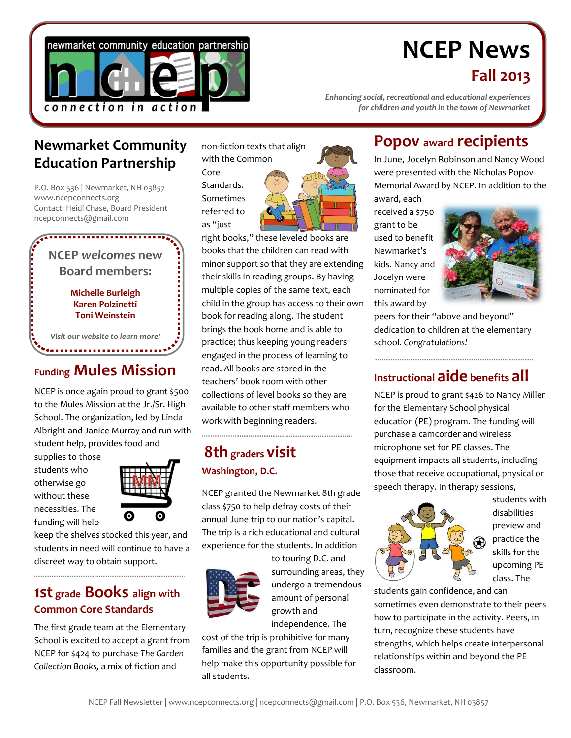

# **NCEP News**

## **Fall 2013**

*Enhancing social, recreational and educational experiences for children and youth in the town of Newmarket*

## **Newmarket Community Education Partnership**

P.O. Box 536 | Newmarket, NH 03857 www.ncepconnects.org Contact: Heidi Chase, Board President ncepconnects@gmail.com

 $\sum_{i=1}^{n}$ **NCEP** *welcomes* **new Board members: Michelle Burleigh Karen Polzinetti Toni Weinstein** *Visit our website to learn more!*

## **Funding Mules Mission**

NCEP is once again proud to grant \$500 to the Mules Mission at the Jr./Sr. High School. The organization, led by Linda Albright and Janice Murray and run with student help, provides food and

supplies to those students who otherwise go without these necessities. The funding will help



keep the shelves stocked this year, and students in need will continue to have a discreet way to obtain support.

#### **1st grade Books align with Common Core Standards**

The first grade team at the Elementary School is excited to accept a grant from NCEP for \$424 to purchase *The Garden Collection Books,* a mix of fiction and

non-fiction texts that align with the Common

Core Standards. Sometimes referred to as "just



right books," these leveled books are books that the children can read with minor support so that they are extending their skills in reading groups. By having multiple copies of the same text, each child in the group has access to their own book for reading along. The student brings the book home and is able to practice; thus keeping young readers engaged in the process of learning to read. All books are stored in the teachers' book room with other collections of level books so they are available to other staff members who work with beginning readers.

## **8th graders visit Washington, D.C.**

NCEP granted the Newmarket 8th grade class \$750 to help defray costs of their annual June trip to our nation's capital. The trip is a rich educational and cultural experience for the students. In addition



to touring D.C. and surrounding areas, they undergo a tremendous amount of personal growth and independence. The

cost of the trip is prohibitive for many families and the grant from NCEP will help make this opportunity possible for all students.

# **Popov award recipients**

In June, Jocelyn Robinson and Nancy Wood were presented with the Nicholas Popov Memorial Award by NCEP. In addition to the award, each

received a \$750 grant to be used to benefit Newmarket's kids. Nancy and Jocelyn were nominated for this award by



peers for their "above and beyond" dedication to children at the elementary school. *Congratulations!*

## **Instructional aide benefits all**

NCEP is proud to grant \$426 to Nancy Miller for the Elementary School physical education (PE) program. The funding will purchase a camcorder and wireless microphone set for PE classes. The equipment impacts all students, including those that receive occupational, physical or speech therapy. In therapy sessions,



students with disabilities preview and practice the skills for the upcoming PE class. The

students gain confidence, and can sometimes even demonstrate to their peers how to participate in the activity. Peers, in turn, recognize these students have strengths, which helps create interpersonal relationships within and beyond the PE classroom.